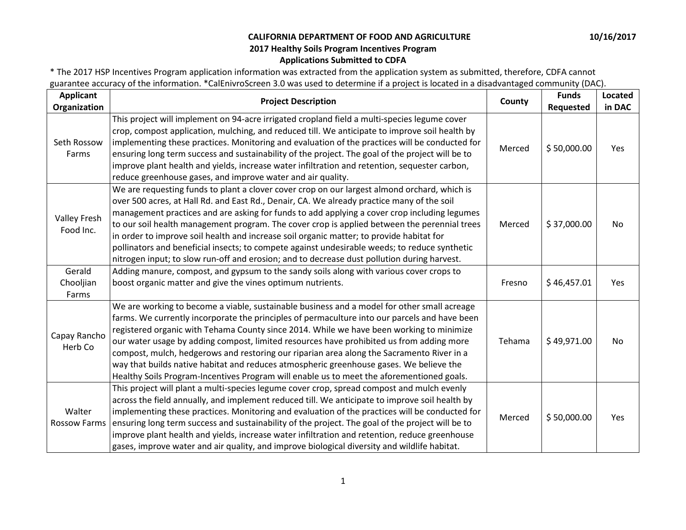\* The 2017 HSP Incentives Program application information was extracted from the application system as submitted, therefore, CDFA cannot guarantee accuracy of the information. \*CalEnivroScreen 3.0 was used to determine if a project is located in a disadvantaged community (DAC).

| <b>Applicant</b><br>Organization | <b>Project Description</b>                                                                                                                                                                                                                                                                                                                                                                                                                                                                                                                                                                                                                                                             | County | <b>Funds</b><br>Requested | <b>Located</b><br>in DAC |
|----------------------------------|----------------------------------------------------------------------------------------------------------------------------------------------------------------------------------------------------------------------------------------------------------------------------------------------------------------------------------------------------------------------------------------------------------------------------------------------------------------------------------------------------------------------------------------------------------------------------------------------------------------------------------------------------------------------------------------|--------|---------------------------|--------------------------|
| Seth Rossow<br>Farms             | This project will implement on 94-acre irrigated cropland field a multi-species legume cover<br>crop, compost application, mulching, and reduced till. We anticipate to improve soil health by<br>implementing these practices. Monitoring and evaluation of the practices will be conducted for<br>ensuring long term success and sustainability of the project. The goal of the project will be to<br>improve plant health and yields, increase water infiltration and retention, sequester carbon,<br>reduce greenhouse gases, and improve water and air quality.                                                                                                                   | Merced | \$50,000.00               | Yes                      |
| <b>Valley Fresh</b><br>Food Inc. | We are requesting funds to plant a clover cover crop on our largest almond orchard, which is<br>over 500 acres, at Hall Rd. and East Rd., Denair, CA. We already practice many of the soil<br>management practices and are asking for funds to add applying a cover crop including legumes<br>to our soil health management program. The cover crop is applied between the perennial trees<br>in order to improve soil health and increase soil organic matter; to provide habitat for<br>pollinators and beneficial insects; to compete against undesirable weeds; to reduce synthetic<br>nitrogen input; to slow run-off and erosion; and to decrease dust pollution during harvest. | Merced | \$37,000.00               | No.                      |
| Gerald<br>Chooljian<br>Farms     | Adding manure, compost, and gypsum to the sandy soils along with various cover crops to<br>boost organic matter and give the vines optimum nutrients.                                                                                                                                                                                                                                                                                                                                                                                                                                                                                                                                  | Fresno | \$46,457.01               | Yes                      |
| Capay Rancho<br>Herb Co          | We are working to become a viable, sustainable business and a model for other small acreage<br>farms. We currently incorporate the principles of permaculture into our parcels and have been<br>registered organic with Tehama County since 2014. While we have been working to minimize<br>our water usage by adding compost, limited resources have prohibited us from adding more<br>compost, mulch, hedgerows and restoring our riparian area along the Sacramento River in a<br>way that builds native habitat and reduces atmospheric greenhouse gases. We believe the<br>Healthy Soils Program-Incentives Program will enable us to meet the aforementioned goals.              | Tehama | \$49,971.00               | No                       |
| Walter<br><b>Rossow Farms</b>    | This project will plant a multi-species legume cover crop, spread compost and mulch evenly<br>across the field annually, and implement reduced till. We anticipate to improve soil health by<br>implementing these practices. Monitoring and evaluation of the practices will be conducted for<br>ensuring long term success and sustainability of the project. The goal of the project will be to<br>improve plant health and yields, increase water infiltration and retention, reduce greenhouse<br>gases, improve water and air quality, and improve biological diversity and wildlife habitat.                                                                                    | Merced | \$50,000.00               | Yes                      |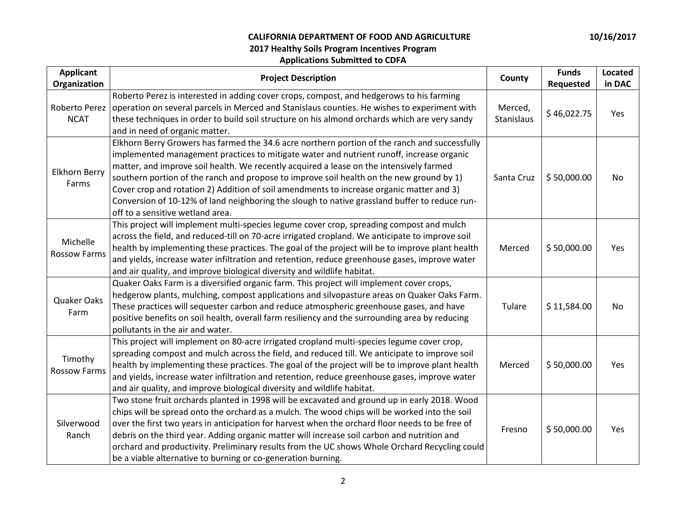| <b>Applicant</b><br>Organization | <b>Project Description</b>                                                                                                                                                                                                                                                                                                                                                                                                                                                                                                                                                                                        | County                | <b>Funds</b><br>Requested | Located<br>in DAC |
|----------------------------------|-------------------------------------------------------------------------------------------------------------------------------------------------------------------------------------------------------------------------------------------------------------------------------------------------------------------------------------------------------------------------------------------------------------------------------------------------------------------------------------------------------------------------------------------------------------------------------------------------------------------|-----------------------|---------------------------|-------------------|
| Roberto Perez<br><b>NCAT</b>     | Roberto Perez is interested in adding cover crops, compost, and hedgerows to his farming<br>operation on several parcels in Merced and Stanislaus counties. He wishes to experiment with<br>these techniques in order to build soil structure on his almond orchards which are very sandy<br>and in need of organic matter.                                                                                                                                                                                                                                                                                       | Merced,<br>Stanislaus | \$46,022.75               | Yes               |
| Elkhorn Berry<br>Farms           | Elkhorn Berry Growers has farmed the 34.6 acre northern portion of the ranch and successfully<br>implemented management practices to mitigate water and nutrient runoff, increase organic<br>matter, and improve soil health. We recently acquired a lease on the intensively farmed<br>southern portion of the ranch and propose to improve soil health on the new ground by 1)<br>Cover crop and rotation 2) Addition of soil amendments to increase organic matter and 3)<br>Conversion of 10-12% of land neighboring the slough to native grassland buffer to reduce run-<br>off to a sensitive wetland area. | Santa Cruz            | \$50,000.00               | No.               |
| Michelle<br><b>Rossow Farms</b>  | This project will implement multi-species legume cover crop, spreading compost and mulch<br>across the field, and reduced-till on 70-acre irrigated cropland. We anticipate to improve soil<br>health by implementing these practices. The goal of the project will be to improve plant health<br>and yields, increase water infiltration and retention, reduce greenhouse gases, improve water<br>and air quality, and improve biological diversity and wildlife habitat.                                                                                                                                        | Merced                | \$50,000.00               | Yes               |
| Quaker Oaks<br>Farm              | Quaker Oaks Farm is a diversified organic farm. This project will implement cover crops,<br>hedgerow plants, mulching, compost applications and silvopasture areas on Quaker Oaks Farm.<br>These practices will sequester carbon and reduce atmospheric greenhouse gases, and have<br>positive benefits on soil health, overall farm resiliency and the surrounding area by reducing<br>pollutants in the air and water.                                                                                                                                                                                          | Tulare                | \$11,584.00               | No.               |
| Timothy<br><b>Rossow Farms</b>   | This project will implement on 80-acre irrigated cropland multi-species legume cover crop,<br>spreading compost and mulch across the field, and reduced till. We anticipate to improve soil<br>health by implementing these practices. The goal of the project will be to improve plant health<br>and yields, increase water infiltration and retention, reduce greenhouse gases, improve water<br>and air quality, and improve biological diversity and wildlife habitat.                                                                                                                                        | Merced                | \$50,000.00               | Yes               |
| Silverwood<br>Ranch              | Two stone fruit orchards planted in 1998 will be excavated and ground up in early 2018. Wood<br>chips will be spread onto the orchard as a mulch. The wood chips will be worked into the soil<br>over the first two years in anticipation for harvest when the orchard floor needs to be free of<br>debris on the third year. Adding organic matter will increase soil carbon and nutrition and<br>orchard and productivity. Preliminary results from the UC shows Whole Orchard Recycling could<br>be a viable alternative to burning or co-generation burning.                                                  | Fresno                | \$50,000.00               | Yes               |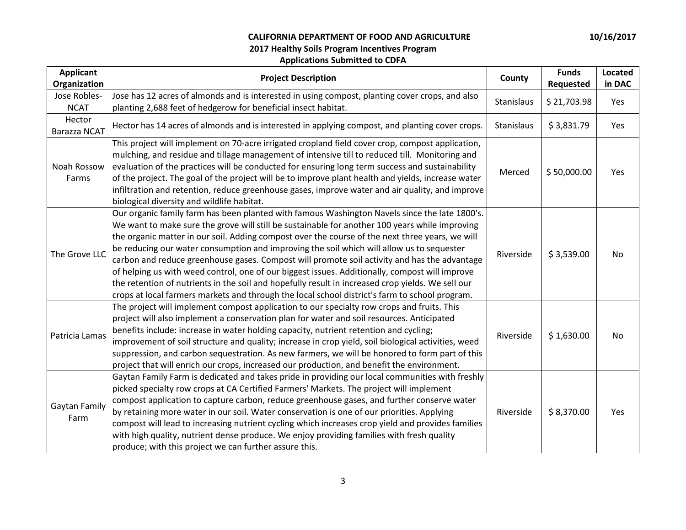| <b>Applicant</b><br>Organization | <b>Project Description</b>                                                                                                                                                                                                                                                                                                                                                                                                                                                                                                                                                                                                                                                                                                                                                                               | County     | <b>Funds</b><br>Requested | Located<br>in DAC |
|----------------------------------|----------------------------------------------------------------------------------------------------------------------------------------------------------------------------------------------------------------------------------------------------------------------------------------------------------------------------------------------------------------------------------------------------------------------------------------------------------------------------------------------------------------------------------------------------------------------------------------------------------------------------------------------------------------------------------------------------------------------------------------------------------------------------------------------------------|------------|---------------------------|-------------------|
| Jose Robles-<br><b>NCAT</b>      | Jose has 12 acres of almonds and is interested in using compost, planting cover crops, and also<br>planting 2,688 feet of hedgerow for beneficial insect habitat.                                                                                                                                                                                                                                                                                                                                                                                                                                                                                                                                                                                                                                        | Stanislaus | \$21,703.98               | Yes               |
| Hector<br><b>Barazza NCAT</b>    | Hector has 14 acres of almonds and is interested in applying compost, and planting cover crops.                                                                                                                                                                                                                                                                                                                                                                                                                                                                                                                                                                                                                                                                                                          | Stanislaus | \$3,831.79                | Yes               |
| Noah Rossow<br>Farms             | This project will implement on 70-acre irrigated cropland field cover crop, compost application,<br>mulching, and residue and tillage management of intensive till to reduced till. Monitoring and<br>evaluation of the practices will be conducted for ensuring long term success and sustainability<br>of the project. The goal of the project will be to improve plant health and yields, increase water<br>infiltration and retention, reduce greenhouse gases, improve water and air quality, and improve<br>biological diversity and wildlife habitat.                                                                                                                                                                                                                                             | Merced     | \$50,000.00               | Yes               |
| The Grove LLC                    | Our organic family farm has been planted with famous Washington Navels since the late 1800's.<br>We want to make sure the grove will still be sustainable for another 100 years while improving<br>the organic matter in our soil. Adding compost over the course of the next three years, we will<br>be reducing our water consumption and improving the soil which will allow us to sequester<br>carbon and reduce greenhouse gases. Compost will promote soil activity and has the advantage<br>of helping us with weed control, one of our biggest issues. Additionally, compost will improve<br>the retention of nutrients in the soil and hopefully result in increased crop yields. We sell our<br>crops at local farmers markets and through the local school district's farm to school program. | Riverside  | \$3,539.00                | No                |
| Patricia Lamas                   | The project will implement compost application to our specialty row crops and fruits. This<br>project will also implement a conservation plan for water and soil resources. Anticipated<br>benefits include: increase in water holding capacity, nutrient retention and cycling;<br>improvement of soil structure and quality; increase in crop yield, soil biological activities, weed<br>suppression, and carbon sequestration. As new farmers, we will be honored to form part of this<br>project that will enrich our crops, increased our production, and benefit the environment.                                                                                                                                                                                                                  | Riverside  | \$1,630.00                | No                |
| Gaytan Family<br>Farm            | Gaytan Family Farm is dedicated and takes pride in providing our local communities with freshly<br>picked specialty row crops at CA Certified Farmers' Markets. The project will implement<br>compost application to capture carbon, reduce greenhouse gases, and further conserve water<br>by retaining more water in our soil. Water conservation is one of our priorities. Applying<br>compost will lead to increasing nutrient cycling which increases crop yield and provides families<br>with high quality, nutrient dense produce. We enjoy providing families with fresh quality<br>produce; with this project we can further assure this.                                                                                                                                                       | Riverside  | \$8,370.00                | Yes               |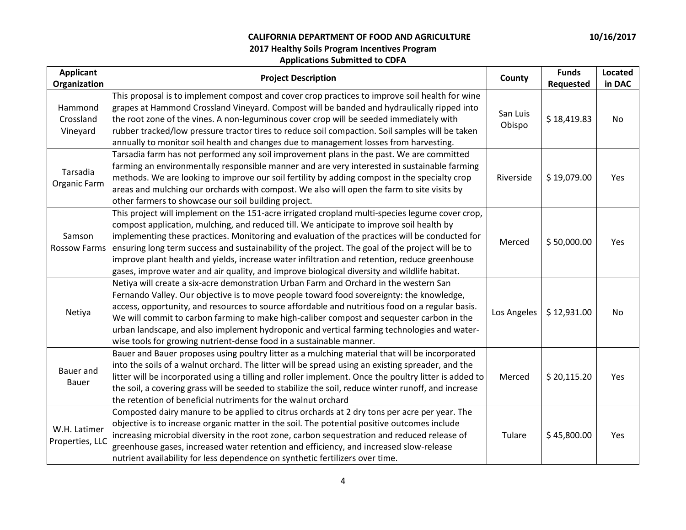| <b>Applicant</b><br>Organization | <b>Project Description</b>                                                                                                                                                                                                                                                                                                                                                                                                                                                                                                                                                                         | County             | <b>Funds</b><br>Requested | Located<br>in DAC |
|----------------------------------|----------------------------------------------------------------------------------------------------------------------------------------------------------------------------------------------------------------------------------------------------------------------------------------------------------------------------------------------------------------------------------------------------------------------------------------------------------------------------------------------------------------------------------------------------------------------------------------------------|--------------------|---------------------------|-------------------|
| Hammond<br>Crossland<br>Vineyard | This proposal is to implement compost and cover crop practices to improve soil health for wine<br>grapes at Hammond Crossland Vineyard. Compost will be banded and hydraulically ripped into<br>the root zone of the vines. A non-leguminous cover crop will be seeded immediately with<br>rubber tracked/low pressure tractor tires to reduce soil compaction. Soil samples will be taken<br>annually to monitor soil health and changes due to management losses from harvesting.                                                                                                                | San Luis<br>Obispo | \$18,419.83               | No                |
| Tarsadia<br>Organic Farm         | Tarsadia farm has not performed any soil improvement plans in the past. We are committed<br>farming an environmentally responsible manner and are very interested in sustainable farming<br>methods. We are looking to improve our soil fertility by adding compost in the specialty crop<br>areas and mulching our orchards with compost. We also will open the farm to site visits by<br>other farmers to showcase our soil building project.                                                                                                                                                    | Riverside          | \$19,079.00               | Yes               |
| Samson<br><b>Rossow Farms</b>    | This project will implement on the 151-acre irrigated cropland multi-species legume cover crop,<br>compost application, mulching, and reduced till. We anticipate to improve soil health by<br>implementing these practices. Monitoring and evaluation of the practices will be conducted for<br>ensuring long term success and sustainability of the project. The goal of the project will be to<br>improve plant health and yields, increase water infiltration and retention, reduce greenhouse<br>gases, improve water and air quality, and improve biological diversity and wildlife habitat. | Merced             | \$50,000.00               | Yes               |
| Netiya                           | Netiya will create a six-acre demonstration Urban Farm and Orchard in the western San<br>Fernando Valley. Our objective is to move people toward food sovereignty: the knowledge,<br>access, opportunity, and resources to source affordable and nutritious food on a regular basis.<br>We will commit to carbon farming to make high-caliber compost and sequester carbon in the<br>urban landscape, and also implement hydroponic and vertical farming technologies and water-<br>wise tools for growing nutrient-dense food in a sustainable manner.                                            | Los Angeles        | \$12,931.00               | No                |
| Bauer and<br><b>Bauer</b>        | Bauer and Bauer proposes using poultry litter as a mulching material that will be incorporated<br>into the soils of a walnut orchard. The litter will be spread using an existing spreader, and the<br>litter will be incorporated using a tilling and roller implement. Once the poultry litter is added to<br>the soil, a covering grass will be seeded to stabilize the soil, reduce winter runoff, and increase<br>the retention of beneficial nutriments for the walnut orchard                                                                                                               | Merced             | \$20,115.20               | Yes               |
| W.H. Latimer<br>Properties, LLC  | Composted dairy manure to be applied to citrus orchards at 2 dry tons per acre per year. The<br>objective is to increase organic matter in the soil. The potential positive outcomes include<br>increasing microbial diversity in the root zone, carbon sequestration and reduced release of<br>greenhouse gases, increased water retention and efficiency, and increased slow-release<br>nutrient availability for less dependence on synthetic fertilizers over time.                                                                                                                            | Tulare             | \$45,800.00               | Yes               |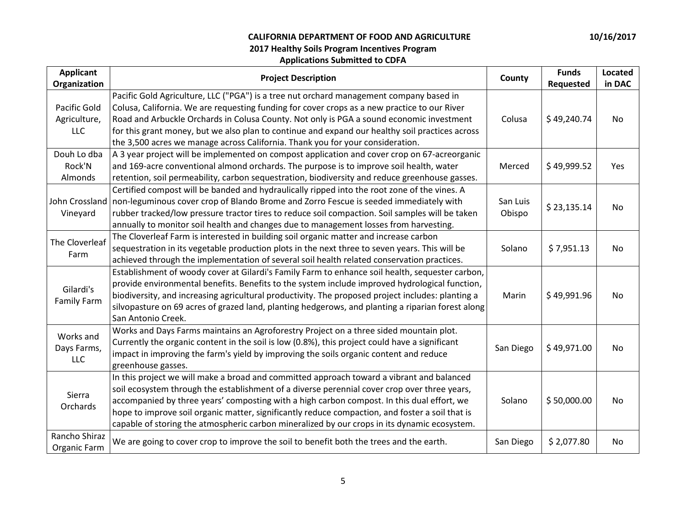| <b>Applicant</b><br>Organization           | <b>Project Description</b>                                                                                                                                                                                                                                                                                                                                                                                                                                                                 | County             | <b>Funds</b><br>Requested | Located<br>in DAC |
|--------------------------------------------|--------------------------------------------------------------------------------------------------------------------------------------------------------------------------------------------------------------------------------------------------------------------------------------------------------------------------------------------------------------------------------------------------------------------------------------------------------------------------------------------|--------------------|---------------------------|-------------------|
| Pacific Gold<br>Agriculture,<br><b>LLC</b> | Pacific Gold Agriculture, LLC ("PGA") is a tree nut orchard management company based in<br>Colusa, California. We are requesting funding for cover crops as a new practice to our River<br>Road and Arbuckle Orchards in Colusa County. Not only is PGA a sound economic investment<br>for this grant money, but we also plan to continue and expand our healthy soil practices across<br>the 3,500 acres we manage across California. Thank you for your consideration.                   | Colusa             | \$49,240.74               | No                |
| Douh Lo dba<br>Rock'N<br>Almonds           | A 3 year project will be implemented on compost application and cover crop on 67-acreorganic<br>and 169-acre conventional almond orchards. The purpose is to improve soil health, water<br>retention, soil permeability, carbon sequestration, biodiversity and reduce greenhouse gasses.                                                                                                                                                                                                  | Merced             | \$49,999.52               | Yes               |
| Vineyard                                   | Certified compost will be banded and hydraulically ripped into the root zone of the vines. A<br>John Crossland   non-leguminous cover crop of Blando Brome and Zorro Fescue is seeded immediately with<br>rubber tracked/low pressure tractor tires to reduce soil compaction. Soil samples will be taken<br>annually to monitor soil health and changes due to management losses from harvesting.                                                                                         | San Luis<br>Obispo | \$23,135.14               | No                |
| The Cloverleaf<br>Farm                     | The Cloverleaf Farm is interested in building soil organic matter and increase carbon<br>sequestration in its vegetable production plots in the next three to seven years. This will be<br>achieved through the implementation of several soil health related conservation practices.                                                                                                                                                                                                      | Solano             | \$7,951.13                | No                |
| Gilardi's<br><b>Family Farm</b>            | Establishment of woody cover at Gilardi's Family Farm to enhance soil health, sequester carbon,<br>provide environmental benefits. Benefits to the system include improved hydrological function,<br>biodiversity, and increasing agricultural productivity. The proposed project includes: planting a<br>silvopasture on 69 acres of grazed land, planting hedgerows, and planting a riparian forest along<br>San Antonio Creek.                                                          | Marin              | \$49,991.96               | No.               |
| Works and<br>Days Farms,<br><b>LLC</b>     | Works and Days Farms maintains an Agroforestry Project on a three sided mountain plot.<br>Currently the organic content in the soil is low (0.8%), this project could have a significant<br>impact in improving the farm's yield by improving the soils organic content and reduce<br>greenhouse gasses.                                                                                                                                                                                   | San Diego          | \$49,971.00               | No.               |
| Sierra<br>Orchards                         | In this project we will make a broad and committed approach toward a vibrant and balanced<br>soil ecosystem through the establishment of a diverse perennial cover crop over three years,<br>accompanied by three years' composting with a high carbon compost. In this dual effort, we<br>hope to improve soil organic matter, significantly reduce compaction, and foster a soil that is<br>capable of storing the atmospheric carbon mineralized by our crops in its dynamic ecosystem. | Solano             | \$50,000.00               | No                |
| Rancho Shiraz<br>Organic Farm              | We are going to cover crop to improve the soil to benefit both the trees and the earth.                                                                                                                                                                                                                                                                                                                                                                                                    | San Diego          | \$2,077.80                | No.               |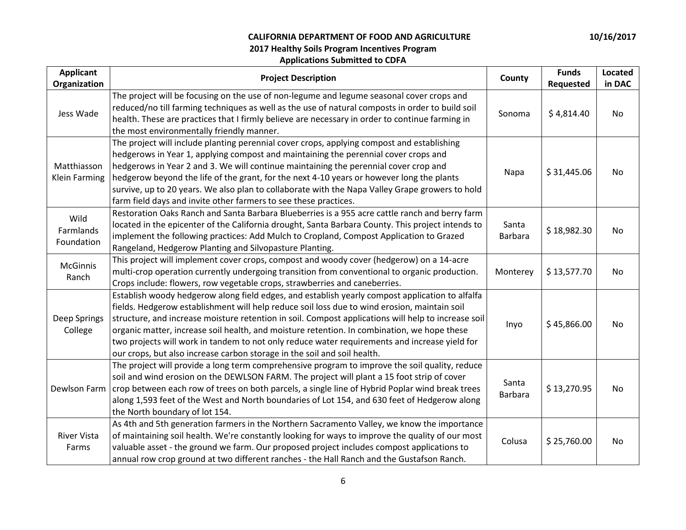| <b>Applicant</b><br>Organization    | <b>Project Description</b>                                                                                                                                                                                                                                                                                                                                                                                                                                                                                                                                                         | County                  | <b>Funds</b><br>Requested | <b>Located</b><br>in DAC |
|-------------------------------------|------------------------------------------------------------------------------------------------------------------------------------------------------------------------------------------------------------------------------------------------------------------------------------------------------------------------------------------------------------------------------------------------------------------------------------------------------------------------------------------------------------------------------------------------------------------------------------|-------------------------|---------------------------|--------------------------|
| Jess Wade                           | The project will be focusing on the use of non-legume and legume seasonal cover crops and<br>reduced/no till farming techniques as well as the use of natural composts in order to build soil<br>health. These are practices that I firmly believe are necessary in order to continue farming in<br>the most environmentally friendly manner.                                                                                                                                                                                                                                      | Sonoma                  | \$4,814.40                | No                       |
| Matthiasson<br><b>Klein Farming</b> | The project will include planting perennial cover crops, applying compost and establishing<br>hedgerows in Year 1, applying compost and maintaining the perennial cover crops and<br>hedgerows in Year 2 and 3. We will continue maintaining the perennial cover crop and<br>hedgerow beyond the life of the grant, for the next 4-10 years or however long the plants<br>survive, up to 20 years. We also plan to collaborate with the Napa Valley Grape growers to hold<br>farm field days and invite other farmers to see these practices.                                      | Napa                    | \$31,445.06               | No                       |
| Wild<br>Farmlands<br>Foundation     | Restoration Oaks Ranch and Santa Barbara Blueberries is a 955 acre cattle ranch and berry farm<br>located in the epicenter of the California drought, Santa Barbara County. This project intends to<br>implement the following practices: Add Mulch to Cropland, Compost Application to Grazed<br>Rangeland, Hedgerow Planting and Silvopasture Planting.                                                                                                                                                                                                                          | Santa<br><b>Barbara</b> | \$18,982.30               | No.                      |
| <b>McGinnis</b><br>Ranch            | This project will implement cover crops, compost and woody cover (hedgerow) on a 14-acre<br>multi-crop operation currently undergoing transition from conventional to organic production.<br>Crops include: flowers, row vegetable crops, strawberries and caneberries.                                                                                                                                                                                                                                                                                                            | Monterey                | \$13,577.70               | No                       |
| Deep Springs<br>College             | Establish woody hedgerow along field edges, and establish yearly compost application to alfalfa<br>fields. Hedgerow establishment will help reduce soil loss due to wind erosion, maintain soil<br>structure, and increase moisture retention in soil. Compost applications will help to increase soil<br>organic matter, increase soil health, and moisture retention. In combination, we hope these<br>two projects will work in tandem to not only reduce water requirements and increase yield for<br>our crops, but also increase carbon storage in the soil and soil health. | Inyo                    | \$45,866.00               | No                       |
| Dewlson Farm                        | The project will provide a long term comprehensive program to improve the soil quality, reduce<br>soil and wind erosion on the DEWLSON FARM. The project will plant a 15 foot strip of cover<br>crop between each row of trees on both parcels, a single line of Hybrid Poplar wind break trees<br>along 1,593 feet of the West and North boundaries of Lot 154, and 630 feet of Hedgerow along<br>the North boundary of lot 154.                                                                                                                                                  | Santa<br><b>Barbara</b> | \$13,270.95               | No                       |
| <b>River Vista</b><br>Farms         | As 4th and 5th generation farmers in the Northern Sacramento Valley, we know the importance<br>of maintaining soil health. We're constantly looking for ways to improve the quality of our most<br>valuable asset - the ground we farm. Our proposed project includes compost applications to<br>annual row crop ground at two different ranches - the Hall Ranch and the Gustafson Ranch.                                                                                                                                                                                         | Colusa                  | \$25,760.00               | No                       |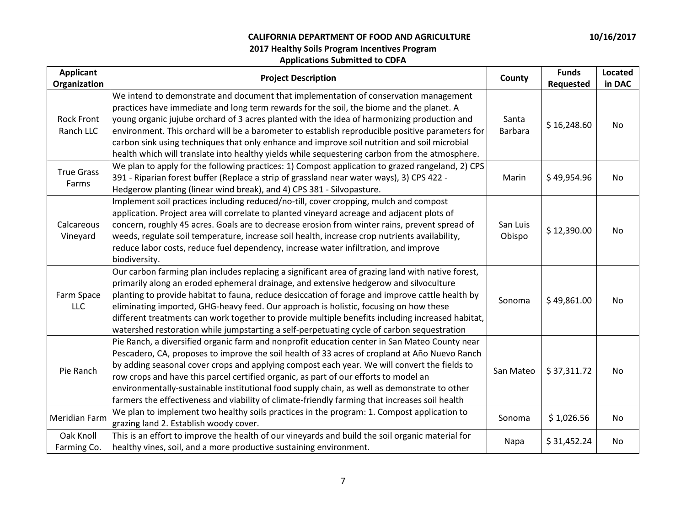| <b>Applicant</b><br>Organization | <b>Project Description</b>                                                                                                                                                                                                                                                                                                                                                                                                                                                                                                                                                               | County                  | <b>Funds</b><br>Requested | Located<br>in DAC |
|----------------------------------|------------------------------------------------------------------------------------------------------------------------------------------------------------------------------------------------------------------------------------------------------------------------------------------------------------------------------------------------------------------------------------------------------------------------------------------------------------------------------------------------------------------------------------------------------------------------------------------|-------------------------|---------------------------|-------------------|
| <b>Rock Front</b><br>Ranch LLC   | We intend to demonstrate and document that implementation of conservation management<br>practices have immediate and long term rewards for the soil, the biome and the planet. A<br>young organic jujube orchard of 3 acres planted with the idea of harmonizing production and<br>environment. This orchard will be a barometer to establish reproducible positive parameters for<br>carbon sink using techniques that only enhance and improve soil nutrition and soil microbial<br>health which will translate into healthy yields while sequestering carbon from the atmosphere.     | Santa<br><b>Barbara</b> | \$16,248.60               | <b>No</b>         |
| <b>True Grass</b><br>Farms       | We plan to apply for the following practices: 1) Compost application to grazed rangeland, 2) CPS<br>391 - Riparian forest buffer (Replace a strip of grassland near water ways), 3) CPS 422 -<br>Hedgerow planting (linear wind break), and 4) CPS 381 - Silvopasture.                                                                                                                                                                                                                                                                                                                   | Marin                   | \$49,954.96               | No                |
| Calcareous<br>Vineyard           | Implement soil practices including reduced/no-till, cover cropping, mulch and compost<br>application. Project area will correlate to planted vineyard acreage and adjacent plots of<br>concern, roughly 45 acres. Goals are to decrease erosion from winter rains, prevent spread of<br>weeds, regulate soil temperature, increase soil health, increase crop nutrients availability,<br>reduce labor costs, reduce fuel dependency, increase water infiltration, and improve<br>biodiversity.                                                                                           | San Luis<br>Obispo      | \$12,390.00               | No                |
| Farm Space<br>LLC                | Our carbon farming plan includes replacing a significant area of grazing land with native forest,<br>primarily along an eroded ephemeral drainage, and extensive hedgerow and silvoculture<br>planting to provide habitat to fauna, reduce desiccation of forage and improve cattle health by<br>eliminating imported, GHG-heavy feed. Our approach is holistic, focusing on how these<br>different treatments can work together to provide multiple benefits including increased habitat,<br>watershed restoration while jumpstarting a self-perpetuating cycle of carbon sequestration | Sonoma                  | \$49,861.00               | No                |
| Pie Ranch                        | Pie Ranch, a diversified organic farm and nonprofit education center in San Mateo County near<br>Pescadero, CA, proposes to improve the soil health of 33 acres of cropland at Año Nuevo Ranch<br>by adding seasonal cover crops and applying compost each year. We will convert the fields to<br>row crops and have this parcel certified organic, as part of our efforts to model an<br>environmentally-sustainable institutional food supply chain, as well as demonstrate to other<br>farmers the effectiveness and viability of climate-friendly farming that increases soil health | San Mateo               | \$37,311.72               | No                |
| Meridian Farm                    | We plan to implement two healthy soils practices in the program: 1. Compost application to<br>grazing land 2. Establish woody cover.                                                                                                                                                                                                                                                                                                                                                                                                                                                     | Sonoma                  | \$1,026.56                | No                |
| Oak Knoll<br>Farming Co.         | This is an effort to improve the health of our vineyards and build the soil organic material for<br>healthy vines, soil, and a more productive sustaining environment.                                                                                                                                                                                                                                                                                                                                                                                                                   | Napa                    | \$31,452.24               | No                |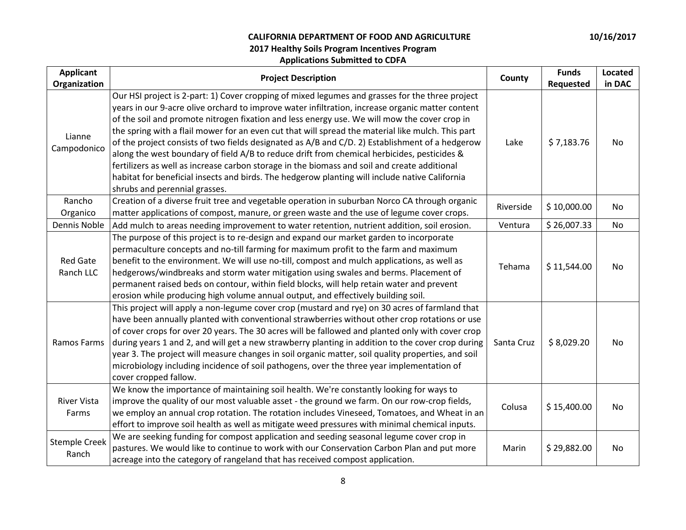| <b>Applicant</b><br>Organization | <b>Project Description</b>                                                                                                                                                                                                                                                                                                                                                                                                                                                                                                                                                                                                                                                                                                                                                                                                                    | County     | <b>Funds</b><br>Requested | <b>Located</b><br>in DAC |
|----------------------------------|-----------------------------------------------------------------------------------------------------------------------------------------------------------------------------------------------------------------------------------------------------------------------------------------------------------------------------------------------------------------------------------------------------------------------------------------------------------------------------------------------------------------------------------------------------------------------------------------------------------------------------------------------------------------------------------------------------------------------------------------------------------------------------------------------------------------------------------------------|------------|---------------------------|--------------------------|
| Lianne<br>Campodonico            | Our HSI project is 2-part: 1) Cover cropping of mixed legumes and grasses for the three project<br>years in our 9-acre olive orchard to improve water infiltration, increase organic matter content<br>of the soil and promote nitrogen fixation and less energy use. We will mow the cover crop in<br>the spring with a flail mower for an even cut that will spread the material like mulch. This part<br>of the project consists of two fields designated as A/B and C/D. 2) Establishment of a hedgerow<br>along the west boundary of field A/B to reduce drift from chemical herbicides, pesticides &<br>fertilizers as well as increase carbon storage in the biomass and soil and create additional<br>habitat for beneficial insects and birds. The hedgerow planting will include native California<br>shrubs and perennial grasses. | Lake       | \$7,183.76                | No.                      |
| Rancho<br>Organico               | Creation of a diverse fruit tree and vegetable operation in suburban Norco CA through organic<br>matter applications of compost, manure, or green waste and the use of legume cover crops.                                                                                                                                                                                                                                                                                                                                                                                                                                                                                                                                                                                                                                                    | Riverside  | \$10,000.00               | No                       |
| Dennis Noble                     | Add mulch to areas needing improvement to water retention, nutrient addition, soil erosion.                                                                                                                                                                                                                                                                                                                                                                                                                                                                                                                                                                                                                                                                                                                                                   | Ventura    | \$26,007.33               | No                       |
| <b>Red Gate</b><br>Ranch LLC     | The purpose of this project is to re-design and expand our market garden to incorporate<br>permaculture concepts and no-till farming for maximum profit to the farm and maximum<br>benefit to the environment. We will use no-till, compost and mulch applications, as well as<br>hedgerows/windbreaks and storm water mitigation using swales and berms. Placement of<br>permanent raised beds on contour, within field blocks, will help retain water and prevent<br>erosion while producing high volume annual output, and effectively building soil.                                                                                                                                                                                                                                                                                      | Tehama     | \$11,544.00               | No                       |
| Ramos Farms                      | This project will apply a non-legume cover crop (mustard and rye) on 30 acres of farmland that<br>have been annually planted with conventional strawberries without other crop rotations or use<br>of cover crops for over 20 years. The 30 acres will be fallowed and planted only with cover crop<br>during years 1 and 2, and will get a new strawberry planting in addition to the cover crop during<br>year 3. The project will measure changes in soil organic matter, soil quality properties, and soil<br>microbiology including incidence of soil pathogens, over the three year implementation of<br>cover cropped fallow.                                                                                                                                                                                                          | Santa Cruz | \$8,029.20                | <b>No</b>                |
| <b>River Vista</b><br>Farms      | We know the importance of maintaining soil health. We're constantly looking for ways to<br>improve the quality of our most valuable asset - the ground we farm. On our row-crop fields,<br>we employ an annual crop rotation. The rotation includes Vineseed, Tomatoes, and Wheat in an<br>effort to improve soil health as well as mitigate weed pressures with minimal chemical inputs.                                                                                                                                                                                                                                                                                                                                                                                                                                                     | Colusa     | \$15,400.00               | No                       |
| <b>Stemple Creek</b><br>Ranch    | We are seeking funding for compost application and seeding seasonal legume cover crop in<br>pastures. We would like to continue to work with our Conservation Carbon Plan and put more<br>acreage into the category of rangeland that has received compost application.                                                                                                                                                                                                                                                                                                                                                                                                                                                                                                                                                                       | Marin      | \$29,882.00               | No                       |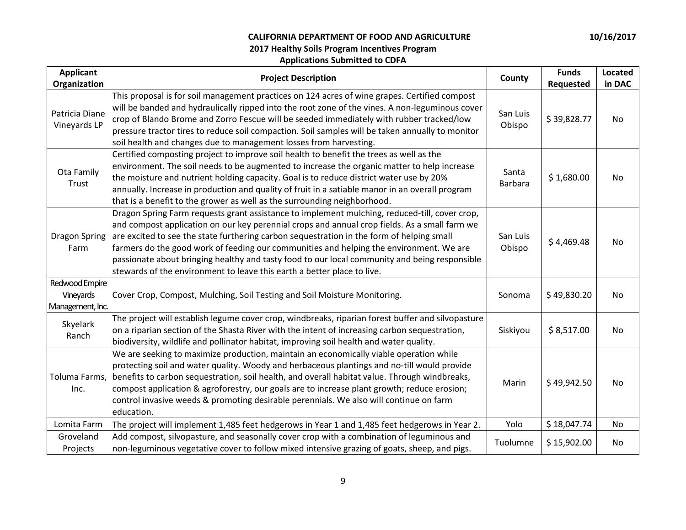| <b>Applicant</b><br>Organization                | <b>Project Description</b>                                                                                                                                                                                                                                                                                                                                                                                                                                                                                                                                         | County                  | <b>Funds</b><br>Requested | Located<br>in DAC |
|-------------------------------------------------|--------------------------------------------------------------------------------------------------------------------------------------------------------------------------------------------------------------------------------------------------------------------------------------------------------------------------------------------------------------------------------------------------------------------------------------------------------------------------------------------------------------------------------------------------------------------|-------------------------|---------------------------|-------------------|
| Patricia Diane<br>Vineyards LP                  | This proposal is for soil management practices on 124 acres of wine grapes. Certified compost<br>will be banded and hydraulically ripped into the root zone of the vines. A non-leguminous cover<br>crop of Blando Brome and Zorro Fescue will be seeded immediately with rubber tracked/low<br>pressure tractor tires to reduce soil compaction. Soil samples will be taken annually to monitor<br>soil health and changes due to management losses from harvesting.                                                                                              | San Luis<br>Obispo      | \$39,828.77               | No                |
| Ota Family<br>Trust                             | Certified composting project to improve soil health to benefit the trees as well as the<br>environment. The soil needs to be augmented to increase the organic matter to help increase<br>the moisture and nutrient holding capacity. Goal is to reduce district water use by 20%<br>annually. Increase in production and quality of fruit in a satiable manor in an overall program<br>that is a benefit to the grower as well as the surrounding neighborhood.                                                                                                   | Santa<br><b>Barbara</b> | \$1,680.00                | No                |
| Dragon Spring<br>Farm                           | Dragon Spring Farm requests grant assistance to implement mulching, reduced-till, cover crop,<br>and compost application on our key perennial crops and annual crop fields. As a small farm we<br>are excited to see the state furthering carbon sequestration in the form of helping small<br>farmers do the good work of feeding our communities and helping the environment. We are<br>passionate about bringing healthy and tasty food to our local community and being responsible<br>stewards of the environment to leave this earth a better place to live. | San Luis<br>Obispo      | \$4,469.48                | No                |
| Redwood Empire<br>Vineyards<br>Management, Inc. | Cover Crop, Compost, Mulching, Soil Testing and Soil Moisture Monitoring.                                                                                                                                                                                                                                                                                                                                                                                                                                                                                          | Sonoma                  | \$49,830.20               | No                |
| Skyelark<br>Ranch                               | The project will establish legume cover crop, windbreaks, riparian forest buffer and silvopasture<br>on a riparian section of the Shasta River with the intent of increasing carbon sequestration,<br>biodiversity, wildlife and pollinator habitat, improving soil health and water quality.                                                                                                                                                                                                                                                                      | Siskiyou                | \$8,517.00                | No                |
| Toluma Farms,<br>Inc.                           | We are seeking to maximize production, maintain an economically viable operation while<br>protecting soil and water quality. Woody and herbaceous plantings and no-till would provide<br>benefits to carbon sequestration, soil health, and overall habitat value. Through windbreaks,<br>compost application & agroforestry, our goals are to increase plant growth; reduce erosion;<br>control invasive weeds & promoting desirable perennials. We also will continue on farm<br>education.                                                                      | Marin                   | \$49,942.50               | No.               |
| Lomita Farm                                     | The project will implement 1,485 feet hedgerows in Year 1 and 1,485 feet hedgerows in Year 2.                                                                                                                                                                                                                                                                                                                                                                                                                                                                      | Yolo                    | \$18,047.74               | No                |
| Groveland<br>Projects                           | Add compost, silvopasture, and seasonally cover crop with a combination of leguminous and<br>non-leguminous vegetative cover to follow mixed intensive grazing of goats, sheep, and pigs.                                                                                                                                                                                                                                                                                                                                                                          | Tuolumne                | \$15,902.00               | No                |